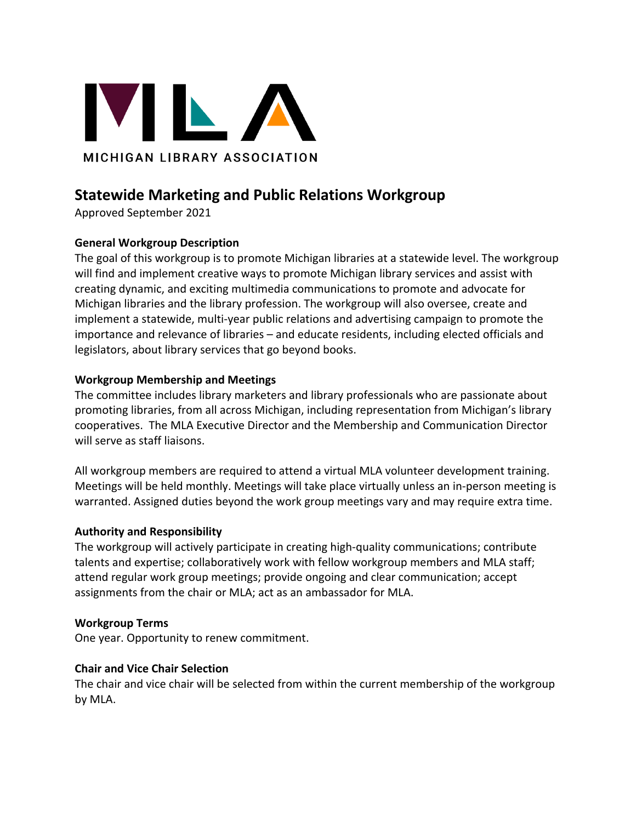

# **Statewide Marketing and Public Relations Workgroup**

Approved September 2021

# **General Workgroup Description**

The goal of this workgroup is to promote Michigan libraries at a statewide level. The workgroup will find and implement creative ways to promote Michigan library services and assist with creating dynamic, and exciting multimedia communications to promote and advocate for Michigan libraries and the library profession. The workgroup will also oversee, create and implement a statewide, multi-year public relations and advertising campaign to promote the importance and relevance of libraries – and educate residents, including elected officials and legislators, about library services that go beyond books.

# **Workgroup Membership and Meetings**

The committee includes library marketers and library professionals who are passionate about promoting libraries, from all across Michigan, including representation from Michigan's library cooperatives. The MLA Executive Director and the Membership and Communication Director will serve as staff liaisons.

All workgroup members are required to attend a virtual MLA volunteer development training. Meetings will be held monthly. Meetings will take place virtually unless an in-person meeting is warranted. Assigned duties beyond the work group meetings vary and may require extra time.

## **Authority and Responsibility**

The workgroup will actively participate in creating high-quality communications; contribute talents and expertise; collaboratively work with fellow workgroup members and MLA staff; attend regular work group meetings; provide ongoing and clear communication; accept assignments from the chair or MLA; act as an ambassador for MLA.

## **Workgroup Terms**

One year. Opportunity to renew commitment.

## **Chair and Vice Chair Selection**

The chair and vice chair will be selected from within the current membership of the workgroup by MLA.